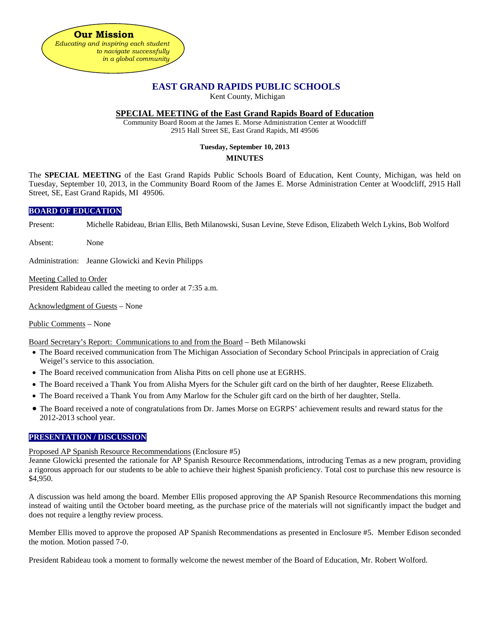

# **EAST GRAND RAPIDS PUBLIC SCHOOLS**

Kent County, Michigan

# **SPECIAL MEETING of the East Grand Rapids Board of Education**

Community Board Room at the James E. Morse Administration Center at Woodcliff 2915 Hall Street SE, East Grand Rapids, MI 49506

### **Tuesday, September 10, 2013**

### **MINUTES**

The **SPECIAL MEETING** of the East Grand Rapids Public Schools Board of Education, Kent County, Michigan, was held on Tuesday, September 10, 2013, in the Community Board Room of the James E. Morse Administration Center at Woodcliff, 2915 Hall Street, SE, East Grand Rapids, MI 49506.

### **BOARD OF EDUCATION**

Present: Michelle Rabideau, Brian Ellis, Beth Milanowski, Susan Levine, Steve Edison, Elizabeth Welch Lykins, Bob Wolford

Absent: None

Administration: Jeanne Glowicki and Kevin Philipps

Meeting Called to Order President Rabideau called the meeting to order at 7:35 a.m.

Acknowledgment of Guests – None

#### Public Comments – None

Board Secretary's Report: Communications to and from the Board – Beth Milanowski

- The Board received communication from The Michigan Association of Secondary School Principals in appreciation of Craig Weigel's service to this association.
- The Board received communication from Alisha Pitts on cell phone use at EGRHS.
- The Board received a Thank You from Alisha Myers for the Schuler gift card on the birth of her daughter, Reese Elizabeth.
- The Board received a Thank You from Amy Marlow for the Schuler gift card on the birth of her daughter, Stella.
- The Board received a note of congratulations from Dr. James Morse on EGRPS' achievement results and reward status for the 2012-2013 school year.

# **PRESENTATION / DISCUSSION**

#### Proposed AP Spanish Resource Recommendations (Enclosure #5)

Jeanne Glowicki presented the rationale for AP Spanish Resource Recommendations, introducing Temas as a new program, providing a rigorous approach for our students to be able to achieve their highest Spanish proficiency. Total cost to purchase this new resource is \$4,950.

A discussion was held among the board. Member Ellis proposed approving the AP Spanish Resource Recommendations this morning instead of waiting until the October board meeting, as the purchase price of the materials will not significantly impact the budget and does not require a lengthy review process.

Member Ellis moved to approve the proposed AP Spanish Recommendations as presented in Enclosure #5. Member Edison seconded the motion. Motion passed 7-0.

President Rabideau took a moment to formally welcome the newest member of the Board of Education, Mr. Robert Wolford.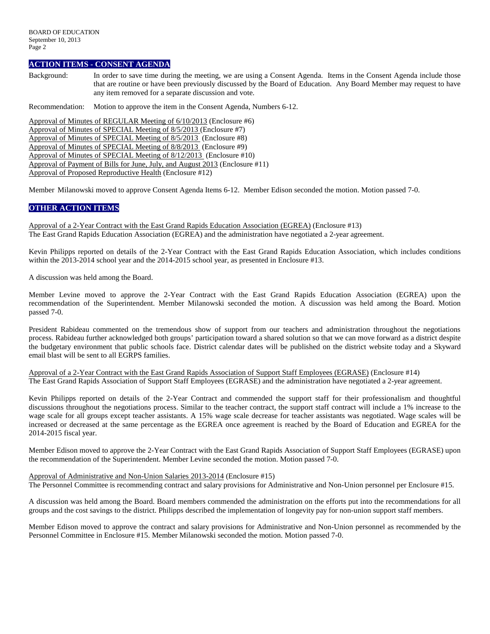#### **ACTION ITEMS - CONSENT AGENDA**

Background: In order to save time during the meeting, we are using a Consent Agenda. Items in the Consent Agenda include those that are routine or have been previously discussed by the Board of Education. Any Board Member may request to have any item removed for a separate discussion and vote.

Recommendation: Motion to approve the item in the Consent Agenda, Numbers 6-12.

Approval of Minutes of REGULAR Meeting of 6/10/2013 (Enclosure #6) Approval of Minutes of SPECIAL Meeting of 8/5/2013 (Enclosure #7) Approval of Minutes of SPECIAL Meeting of 8/5/2013 (Enclosure #8) Approval of Minutes of SPECIAL Meeting of 8/8/2013 (Enclosure #9) Approval of Minutes of SPECIAL Meeting of 8/12/2013 (Enclosure #10) Approval of Payment of Bills for June, July, and August 2013 (Enclosure #11) Approval of Proposed Reproductive Health (Enclosure #12)

Member Milanowski moved to approve Consent Agenda Items 6-12. Member Edison seconded the motion. Motion passed 7-0.

### **OTHER ACTION ITEMS**

Approval of a 2-Year Contract with the East Grand Rapids Education Association (EGREA) (Enclosure #13) The East Grand Rapids Education Association (EGREA) and the administration have negotiated a 2-year agreement.

Kevin Philipps reported on details of the 2-Year Contract with the East Grand Rapids Education Association, which includes conditions within the 2013-2014 school year and the 2014-2015 school year, as presented in Enclosure #13.

A discussion was held among the Board.

Member Levine moved to approve the 2-Year Contract with the East Grand Rapids Education Association (EGREA) upon the recommendation of the Superintendent. Member Milanowski seconded the motion. A discussion was held among the Board. Motion passed 7-0.

President Rabideau commented on the tremendous show of support from our teachers and administration throughout the negotiations process. Rabideau further acknowledged both groups' participation toward a shared solution so that we can move forward as a district despite the budgetary environment that public schools face. District calendar dates will be published on the district website today and a Skyward email blast will be sent to all EGRPS families.

Approval of a 2-Year Contract with the East Grand Rapids Association of Support Staff Employees (EGRASE) (Enclosure #14) The East Grand Rapids Association of Support Staff Employees (EGRASE) and the administration have negotiated a 2-year agreement.

Kevin Philipps reported on details of the 2-Year Contract and commended the support staff for their professionalism and thoughtful discussions throughout the negotiations process. Similar to the teacher contract, the support staff contract will include a 1% increase to the wage scale for all groups except teacher assistants. A 15% wage scale decrease for teacher assistants was negotiated. Wage scales will be increased or decreased at the same percentage as the EGREA once agreement is reached by the Board of Education and EGREA for the 2014-2015 fiscal year.

Member Edison moved to approve the 2-Year Contract with the East Grand Rapids Association of Support Staff Employees (EGRASE) upon the recommendation of the Superintendent. Member Levine seconded the motion. Motion passed 7-0.

#### Approval of Administrative and Non-Union Salaries 2013-2014 (Enclosure #15)

The Personnel Committee is recommending contract and salary provisions for Administrative and Non-Union personnel per Enclosure #15.

A discussion was held among the Board. Board members commended the administration on the efforts put into the recommendations for all groups and the cost savings to the district. Philipps described the implementation of longevity pay for non-union support staff members.

Member Edison moved to approve the contract and salary provisions for Administrative and Non-Union personnel as recommended by the Personnel Committee in Enclosure #15. Member Milanowski seconded the motion. Motion passed 7-0.